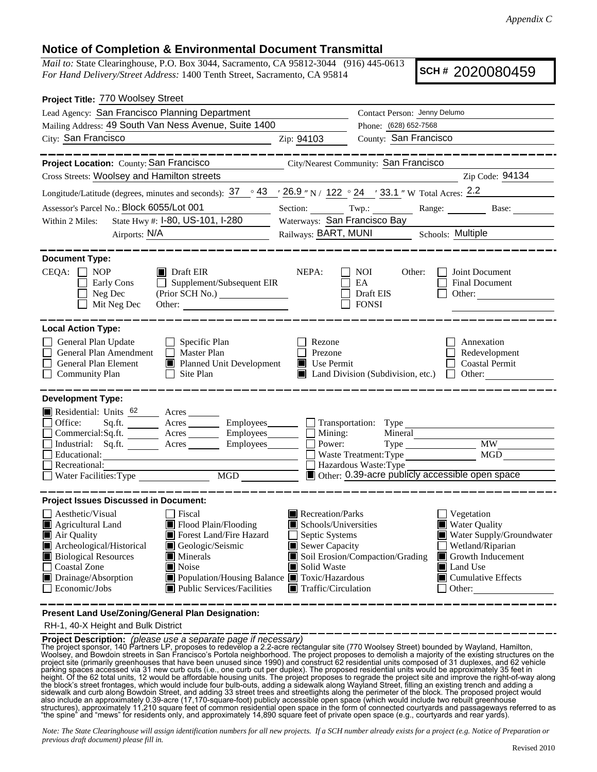## **Notice of Completion & Environmental Document Transmittal**

*Mail to:* State Clearinghouse, P.O. Box 3044, Sacramento, CA 95812-3044 (916) 445-0613 *For Hand Delivery/Street Address:* 1400 Tenth Street, Sacramento, CA 95814

**SCH #** 2020080459

| Project Title: 770 Woolsey Street                                                                                                                                                                                                                                                                                                                                               |                                                                                                                                   |                                                                                |                                                                                                                                                            |
|---------------------------------------------------------------------------------------------------------------------------------------------------------------------------------------------------------------------------------------------------------------------------------------------------------------------------------------------------------------------------------|-----------------------------------------------------------------------------------------------------------------------------------|--------------------------------------------------------------------------------|------------------------------------------------------------------------------------------------------------------------------------------------------------|
| Lead Agency: San Francisco Planning Department                                                                                                                                                                                                                                                                                                                                  |                                                                                                                                   | Contact Person: Jenny Delumo                                                   |                                                                                                                                                            |
| Mailing Address: 49 South Van Ness Avenue, Suite 1400                                                                                                                                                                                                                                                                                                                           |                                                                                                                                   | Phone: (628) 652-7568                                                          |                                                                                                                                                            |
| City: San Francisco<br><u> 1980 - Johann Barn, mars eta bainar eta idazlea (</u>                                                                                                                                                                                                                                                                                                | Zip: 94103                                                                                                                        | County: San Francisco                                                          |                                                                                                                                                            |
| .                                                                                                                                                                                                                                                                                                                                                                               |                                                                                                                                   |                                                                                |                                                                                                                                                            |
| Project Location: County: San Francisco                                                                                                                                                                                                                                                                                                                                         |                                                                                                                                   | City/Nearest Community: San Francisco                                          |                                                                                                                                                            |
| Cross Streets: Woolsey and Hamilton streets                                                                                                                                                                                                                                                                                                                                     |                                                                                                                                   |                                                                                | Zip Code: 94134                                                                                                                                            |
| Longitude/Latitude (degrees, minutes and seconds): $37 \degree$ 43 $\degree$ 26.9 " N / 122 $\degree$ 24 $\degree$ 33.1 " W Total Acres: 2.2                                                                                                                                                                                                                                    |                                                                                                                                   |                                                                                |                                                                                                                                                            |
| Assessor's Parcel No.: Block 6055/Lot 001                                                                                                                                                                                                                                                                                                                                       |                                                                                                                                   |                                                                                | Section: Twp.: Range: Base:                                                                                                                                |
| State Hwy #: 1-80, US-101, 1-280<br>Within 2 Miles:                                                                                                                                                                                                                                                                                                                             |                                                                                                                                   | Waterways: San Francisco Bay                                                   |                                                                                                                                                            |
| Airports: $N/A$                                                                                                                                                                                                                                                                                                                                                                 |                                                                                                                                   |                                                                                | Railways: BART, MUNI Schools: Multiple                                                                                                                     |
|                                                                                                                                                                                                                                                                                                                                                                                 |                                                                                                                                   |                                                                                |                                                                                                                                                            |
| <b>Document Type:</b>                                                                                                                                                                                                                                                                                                                                                           |                                                                                                                                   |                                                                                |                                                                                                                                                            |
| $CEQA: \Box NP$<br>$\blacksquare$ Draft EIR<br>$\Box$ Supplement/Subsequent EIR<br>Early Cons<br>Neg Dec<br>(Prior SCH No.) ________________<br>Mit Neg Dec                                                                                                                                                                                                                     | NEPA:                                                                                                                             | NOI<br>Other:<br>EA<br>Draft EIS<br><b>FONSI</b>                               | Joint Document<br>Final Document<br>Other:                                                                                                                 |
| <b>Local Action Type:</b>                                                                                                                                                                                                                                                                                                                                                       |                                                                                                                                   |                                                                                |                                                                                                                                                            |
| General Plan Update<br>$\Box$ Specific Plan<br>General Plan Amendment<br><b>Master Plan</b><br>$\overline{\phantom{a}}$<br>General Plan Element<br>Planned Unit Development<br><b>Community Plan</b><br>Site Plan<br>$\Box$                                                                                                                                                     | Rezone<br>Prezone<br>Use Permit                                                                                                   | Land Division (Subdivision, etc.)                                              | Annexation<br>Redevelopment<br><b>Coastal Permit</b><br>$\Box$ Other:                                                                                      |
| <b>Development Type:</b>                                                                                                                                                                                                                                                                                                                                                        |                                                                                                                                   |                                                                                |                                                                                                                                                            |
| Residential: Units <sup>62</sup> Acres<br>Office:<br>Acres Employees Transportation: Type<br>Sq.ft. $\qquad$<br>__ Acres ________ Employees _______<br>Commercial:Sq.ft.<br>Industrial: Sq.ft. _______ Acres _______ Employees_______<br>Educational:<br>Recreational:<br>MGD                                                                                                   |                                                                                                                                   | Mining:<br>Mineral<br>Power:<br>Waste Treatment: Type<br>Hazardous Waste: Type | MW<br>MGD<br>Other: 0.39-acre publicly accessible open space                                                                                               |
| <b>Project Issues Discussed in Document:</b>                                                                                                                                                                                                                                                                                                                                    |                                                                                                                                   |                                                                                |                                                                                                                                                            |
| Aesthetic/Visual<br>Fiscal<br>Flood Plain/Flooding<br>Agricultural Land<br>Air Quality<br>Forest Land/Fire Hazard<br>Archeological/Historical<br>Geologic/Seismic<br><b>Biological Resources</b><br>$\blacksquare$ Minerals<br><b>Coastal Zone</b><br>Noise<br>Population/Housing Balance Toxic/Hazardous<br>Drainage/Absorption<br>Public Services/Facilities<br>Economic/Jobs | Recreation/Parks<br>Schools/Universities<br>Septic Systems<br>Sewer Capacity<br>Solid Waste<br>$\blacksquare$ Traffic/Circulation | Soil Erosion/Compaction/Grading                                                | Vegetation<br><b>Water Quality</b><br>Water Supply/Groundwater<br>Wetland/Riparian<br>Growth Inducement<br>Land Use<br>$\Box$ Cumulative Effects<br>Other: |
| Present Land Use/Zoning/General Plan Designation:                                                                                                                                                                                                                                                                                                                               |                                                                                                                                   |                                                                                |                                                                                                                                                            |

RH-1, 40-X Height and Bulk District

**Project Description:** (please use a separate page if necessary)<br>The project Description: (please use a separate page if necessary)<br>Woolsey Street) bounded by Wayland, Hamilton,<br>Woolsey, and Bowdoin streets in San Francisc

*Note: The State Clearinghouse will assign identification numbers for all new projects. If a SCH number already exists for a project (e.g. Notice of Preparation or previous draft document) please fill in.*